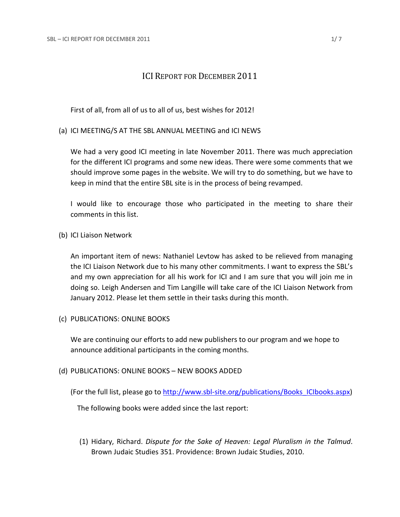# ICI REPORT FOR DECEMBER 2011

First of all, from all of us to all of us, best wishes for 2012!

(a) ICI MEETING/S AT THE SBL ANNUAL MEETING and ICI NEWS

We had a very good ICI meeting in late November 2011. There was much appreciation for the different ICI programs and some new ideas. There were some comments that we should improve some pages in the website. We will try to do something, but we have to keep in mind that the entire SBL site is in the process of being revamped.

I would like to encourage those who participated in the meeting to share their comments in this list.

(b) ICI Liaison Network

An important item of news: Nathaniel Levtow has asked to be relieved from managing the ICI Liaison Network due to his many other commitments. I want to express the SBL's and my own appreciation for all his work for ICI and I am sure that you will join me in doing so. Leigh Andersen and Tim Langille will take care of the ICI Liaison Network from January 2012. Please let them settle in their tasks during this month.

(c) PUBLICATIONS: ONLINE BOOKS

We are continuing our efforts to add new publishers to our program and we hope to announce additional participants in the coming months.

(d) PUBLICATIONS: ONLINE BOOKS – NEW BOOKS ADDED

(For the full list, please go to [http://www.sbl-site.org/publications/Books\\_ICIbooks.aspx\)](http://www.sbl-site.org/publications/Books_ICIbooks.aspx)

The following books were added since the last report:

(1) Hidary, Richard. *[Dispute for the Sake of Heaven: Legal Pluralism in the Talmud](http://www.sbl-site.org/assets/pdfs/onlinebooks/PDF/OnlineBooks/Hidary.pdf)*. Brown Judaic Studies 351. Providence: Brown Judaic Studies, 2010.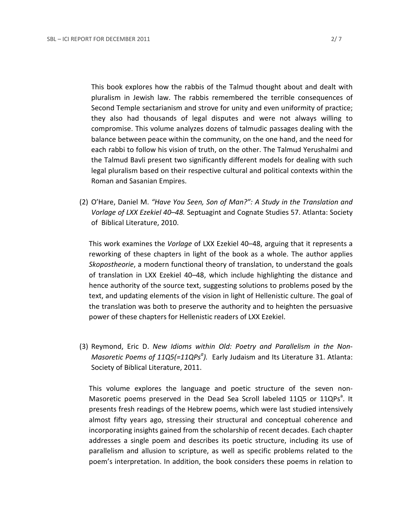This book explores how the rabbis of the Talmud thought about and dealt with pluralism in Jewish law. The rabbis remembered the terrible consequences of Second Temple sectarianism and strove for unity and even uniformity of practice; they also had thousands of legal disputes and were not always willing to compromise. This volume analyzes dozens of talmudic passages dealing with the balance between peace within the community, on the one hand, and the need for each rabbi to follow his vision of truth, on the other. The Talmud Yerushalmi and the Talmud Bavli present two significantly different models for dealing with such legal pluralism based on their respective cultural and political contexts within the Roman and Sasanian Empires.

(2) O'Hare, Daniel M. *"Have You Seen, Son of Man?": A Study in the Translation and Vorlage of LXX Ezekiel 40–48.* Septuagint and Cognate Studies 57. Atlanta: Society of Biblical Literature, 2010.

This work examines the *Vorlage* of LXX Ezekiel 40–48, arguing that it represents a reworking of these chapters in light of the book as a whole. The author applies *Skopostheorie*, a modern functional theory of translation, to understand the goals of translation in LXX Ezekiel 40–48, which include highlighting the distance and hence authority of the source text, suggesting solutions to problems posed by the text, and updating elements of the vision in light of Hellenistic culture. The goal of the translation was both to preserve the authority and to heighten the persuasive power of these chapters for Hellenistic readers of LXX Ezekiel.

(3) Reymond, Eric D. *New Idioms within Old: Poetry and Parallelism in the Non-Masoretic Poems of 11Q5(=11QPs<sup>a</sup>).* Early Judaism and Its Literature 31. Atlanta: Society of Biblical Literature, 2011.

This volume explores the language and poetic structure of the seven non-Masoretic poems preserved in the Dead Sea Scroll labeled 11Q5 or 11QPs<sup>a</sup>. It presents fresh readings of the Hebrew poems, which were last studied intensively almost fifty years ago, stressing their structural and conceptual coherence and incorporating insights gained from the scholarship of recent decades. Each chapter addresses a single poem and describes its poetic structure, including its use of parallelism and allusion to scripture, as well as specific problems related to the poem's interpretation. In addition, the book considers these poems in relation to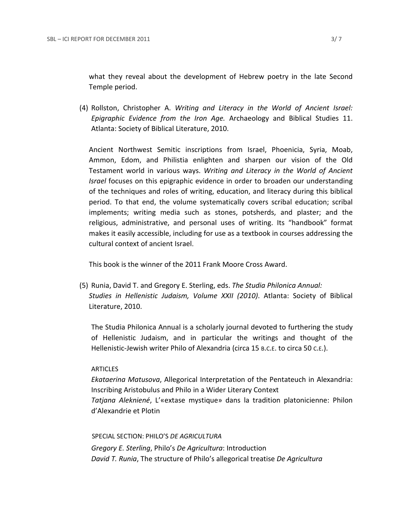what they reveal about the development of Hebrew poetry in the late Second Temple period.

(4) Rollston, Christopher A. *Writing and Literacy in the World of Ancient Israel: Epigraphic Evidence from the Iron Age.* Archaeology and Biblical Studies 11. Atlanta: Society of Biblical Literature, 2010.

Ancient Northwest Semitic inscriptions from Israel, Phoenicia, Syria, Moab, Ammon, Edom, and Philistia enlighten and sharpen our vision of the Old Testament world in various ways. *Writing and Literacy in the World of Ancient Israel* focuses on this epigraphic evidence in order to broaden our understanding of the techniques and roles of writing, education, and literacy during this biblical period. To that end, the volume systematically covers scribal education; scribal implements; writing media such as stones, potsherds, and plaster; and the religious, administrative, and personal uses of writing. Its "handbook" format makes it easily accessible, including for use as a textbook in courses addressing the cultural context of ancient Israel.

This book is the winner of the 2011 Frank Moore Cross Award.

(5) Runia, David T. and Gregory E. Sterling, eds. *The Studia Philonica Annual: Studies in Hellenistic Judaism, Volume XXII (2010)*. Atlanta: Society of Biblical Literature, 2010.

The Studia Philonica Annual is a scholarly journal devoted to furthering the study of Hellenistic Judaism, and in particular the writings and thought of the Hellenistic-Jewish writer Philo of Alexandria (circa 15 B.C.E. to circa 50 C.E.).

### **ARTICLES**

*Ekataerina Matusova*, Allegorical Interpretation of the Pentateuch in Alexandria: Inscribing Aristobulus and Philo in a Wider Literary Context *Tatjana Alekniené*, L'«extase mystique» dans la tradition platonicienne: Philon d'Alexandrie et Plotin

 SPECIAL SECTION: PHILO'S *DE AGRICULTURA Gregory E. Sterling*, Philo's *De Agricultura*: Introduction *David T. Runia*, The structure of Philo's allegorical treatise *De Agricultura*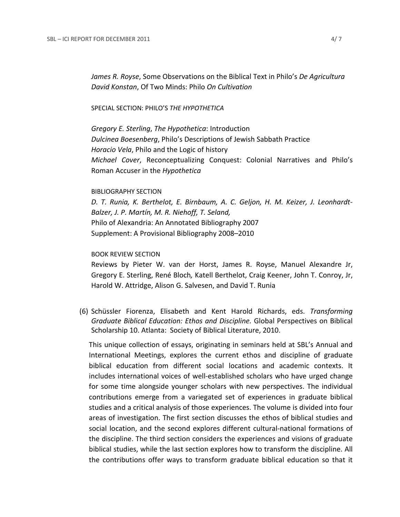*James R. Royse*, Some Observations on the Biblical Text in Philo's *De Agricultura David Konstan*, Of Two Minds: Philo *On Cultivation*

### SPECIAL SECTION: PHILO'S *THE HYPOTHETICA*

*Gregory E. Sterling*, *The Hypothetica*: Introduction *Dulcinea Boesenberg*, Philo's Descriptions of Jewish Sabbath Practice *Horacio Vela*, Philo and the Logic of history *Michael Cover*, Reconceptualizing Conquest: Colonial Narratives and Philo's Roman Accuser in the *Hypothetica*

#### BIBLIOGRAPHY SECTION

*D. T. Runia, K. Berthelot, E. Birnbaum, A. C. Geljon, H. M. Keizer, J. Leonhardt-Balzer, J. P. Martín, M. R. Niehoff, T. Seland,* Philo of Alexandria: An Annotated Bibliography 2007 Supplement: A Provisional Bibliography 2008–2010

### BOOK REVIEW SECTION

Reviews by Pieter W. van der Horst, James R. Royse, Manuel Alexandre Jr, Gregory E. Sterling, René Bloch*,* Katell Berthelot, Craig Keener, John T. Conroy, Jr, Harold W. Attridge, Alison G. Salvesen, and David T. Runia

(6) Schüssler Fiorenza, Elisabeth and Kent Harold Richards, eds. *Transforming Graduate Biblical Education: Ethos and Discipline.* Global Perspectives on Biblical Scholarship 10. Atlanta: Society of Biblical Literature, 2010.

This unique collection of essays, originating in seminars held at SBL's Annual and International Meetings, explores the current ethos and discipline of graduate biblical education from different social locations and academic contexts. It includes international voices of well-established scholars who have urged change for some time alongside younger scholars with new perspectives. The individual contributions emerge from a variegated set of experiences in graduate biblical studies and a critical analysis of those experiences. The volume is divided into four areas of investigation. The first section discusses the ethos of biblical studies and social location, and the second explores different cultural-national formations of the discipline. The third section considers the experiences and visions of graduate biblical studies, while the last section explores how to transform the discipline. All the contributions offer ways to transform graduate biblical education so that it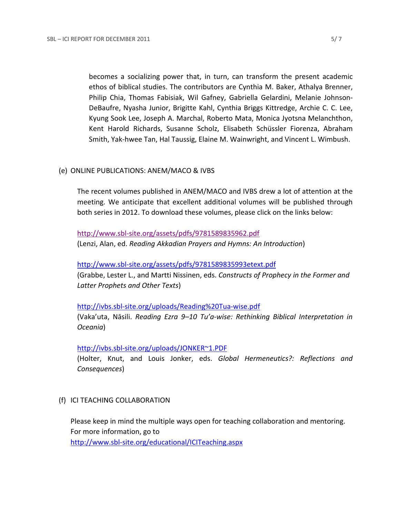becomes a socializing power that, in turn, can transform the present academic ethos of biblical studies. The contributors are Cynthia M. Baker, Athalya Brenner, Philip Chia, Thomas Fabisiak, Wil Gafney, Gabriella Gelardini, Melanie Johnson-DeBaufre, Nyasha Junior, Brigitte Kahl, Cynthia Briggs Kittredge, Archie C. C. Lee, Kyung Sook Lee, Joseph A. Marchal, Roberto Mata, Monica Jyotsna Melanchthon, Kent Harold Richards, Susanne Scholz, Elisabeth Schüssler Fiorenza, Abraham Smith, Yak-hwee Tan, Hal Taussig, Elaine M. Wainwright, and Vincent L. Wimbush.

# (e) ONLINE PUBLICATIONS: ANEM/MACO & IVBS

The recent volumes published in ANEM/MACO and IVBS drew a lot of attention at the meeting. We anticipate that excellent additional volumes will be published through both series in 2012. To download these volumes, please click on the links below:

<http://www.sbl-site.org/assets/pdfs/9781589835962.pdf> (Lenzi, Alan, ed. *Reading Akkadian Prayers and Hymns: An Introduction*)

## <http://www.sbl-site.org/assets/pdfs/9781589835993etext.pdf>

(Grabbe, Lester L., and Martti Nissinen, eds. *Constructs of Prophecy in the Former and Latter Prophets and Other Texts*)

## <http://ivbs.sbl-site.org/uploads/Reading%20Tua-wise.pdf>

(Vaka'uta, Nāsili. *Reading Ezra 9–10 Tu'a-wise: Rethinking Biblical Interpretation in Oceania*)

<http://ivbs.sbl-site.org/uploads/JONKER~1.PDF>

(Holter, Knut, and Louis Jonker, eds. *Global Hermeneutics?: Reflections and Consequences*)

# (f) ICI TEACHING COLLABORATION

Please keep in mind the multiple ways open for teaching collaboration and mentoring. For more information, go to <http://www.sbl-site.org/educational/ICITeaching.aspx>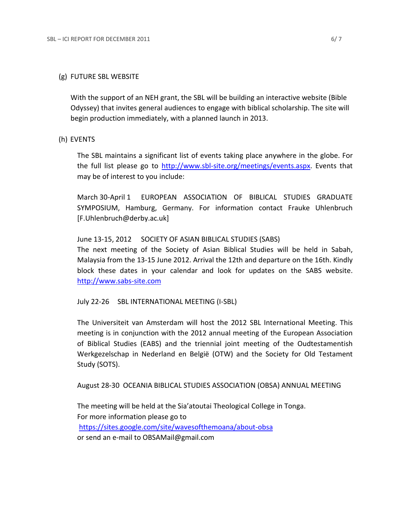## (g) FUTURE SBL WEBSITE

With the support of an NEH grant, the SBL will be building an interactive website (Bible Odyssey) that invites general audiences to engage with biblical scholarship. The site will begin production immediately, with a planned launch in 2013.

### (h) EVENTS

The SBL maintains a significant list of events taking place anywhere in the globe. For the full list please go to [http://www.sbl-site.org/meetings/events.aspx.](http://www.sbl-site.org/meetings/events.aspx) Events that may be of interest to you include:

March 30-April 1 EUROPEAN ASSOCIATION OF BIBLICAL STUDIES GRADUATE SYMPOSIUM, Hamburg, Germany. For information contact Frauke Uhlenbruch [F.Uhlenbruch@derby.ac.uk]

## June 13-15, 2012 SOCIETY OF ASIAN BIBLICAL STUDIES (SABS)

The next meeting of the Society of Asian Biblical Studies will be held in Sabah, Malaysia from the 13-15 June 2012. Arrival the 12th and departure on the 16th. Kindly block these dates in your calendar and look for updates on the SABS website. [http://www.sabs-site.com](http://www.sabs-site.com/)

July 22-26 SBL INTERNATIONAL MEETING (I-SBL)

The Universiteit van Amsterdam will host the 2012 SBL International Meeting. This meeting is in conjunction with the 2012 annual meeting of the European Association of Biblical Studies (EABS) and the triennial joint meeting of the Oudtestamentish Werkgezelschap in Nederland en België (OTW) and the Society for Old Testament Study (SOTS).

August 28-30 OCEANIA BIBLICAL STUDIES ASSOCIATION (OBSA) ANNUAL MEETING

The meeting will be held at the Sia'atoutai Theological College in Tonga. For more information please go to <https://sites.google.com/site/wavesofthemoana/about-obsa> or send an e-mail to OBSAMail@gmail.com